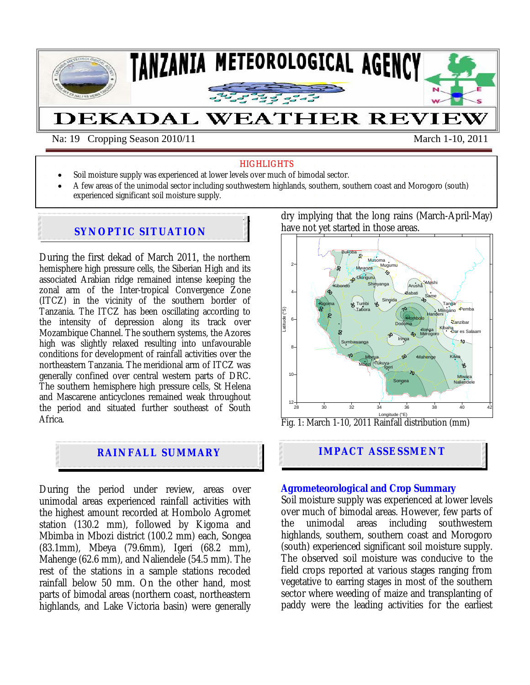

Na: 19 Cropping Season 2010/11 March 1-10, 2011

#### **HIGHLIGHTS**

- Soil moisture supply was experienced at lower levels over much of bimodal sector.
- A few areas of the unimodal sector including southwestern highlands, southern, southern coast and Morogoro (south)
- experienced significant soil moisture supply.

### During the second dekad of February 2011*,* the **northern hemisphere is SYNOPTIC SITUATION**

During the first dekad of March 2011*,* the northern hemisphere high pressure cells, the Siberian High and its associated Arabian ridge remained intense keeping the zonal arm of the Inter-tropical Convergence Zone (ITCZ) in the vicinity of the southern border of Tanzania. The ITCZ has been oscillating according to the intensity of depression along its track over Mozambique Channel. The southern systems, the Azores high was slightly relaxed resulting into unfavourable conditions for development of rainfall activities over the northeastern Tanzania. The meridional arm of ITCZ was generally confined over central western parts of DRC. The southern hemisphere high pressure cells, St Helena and Mascarene anticyclones remained weak throughout the period and situated further southeast of South Africa.

# **RAINFALL SUMMARY**

During the period under review, areas over unimodal areas experienced rainfall activities with the highest amount recorded at Hombolo Agromet station (130.2 mm), followed by Kigoma and Mbimba in Mbozi district (100.2 mm) each, Songea (83.1mm), Mbeya (79.6mm), Igeri (68.2 mm), Mahenge (62.6 mm), and Naliendele (54.5 mm). The rest of the stations in a sample stations recoded rainfall below 50 mm. On the other hand, most parts of bimodal areas (northern coast, northeastern highlands, and Lake Victoria basin) were generally

dry implying that the long rains (March-April-May) have not yet started in those areas.



Fig. 1: March 1-10, 2011 Rainfall distribution (mm)

# **IMPACT ASSESSMENT**

#### **Agrometeorological and Crop Summary**

Soil moisture supply was experienced at lower levels over much of bimodal areas. However, few parts of the unimodal areas including southwestern highlands, southern, southern coast and Morogoro (south) experienced significant soil moisture supply. The observed soil moisture was conducive to the field crops reported at various stages ranging from vegetative to earring stages in most of the southern sector where weeding of maize and transplanting of paddy were the leading activities for the earliest